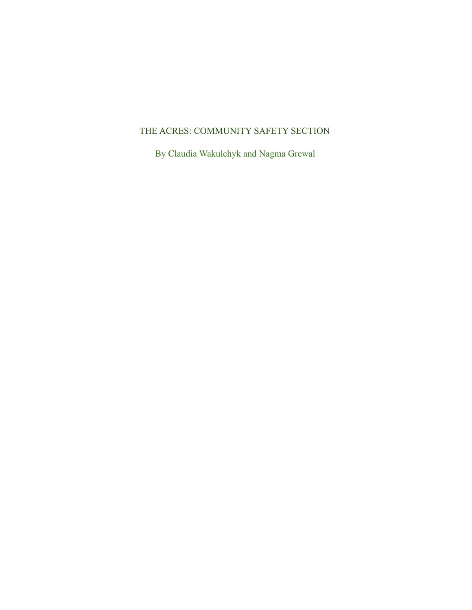# THE ACRES: COMMUNITY SAFETY SECTION

By Claudia Wakulchyk and Nagma Grewal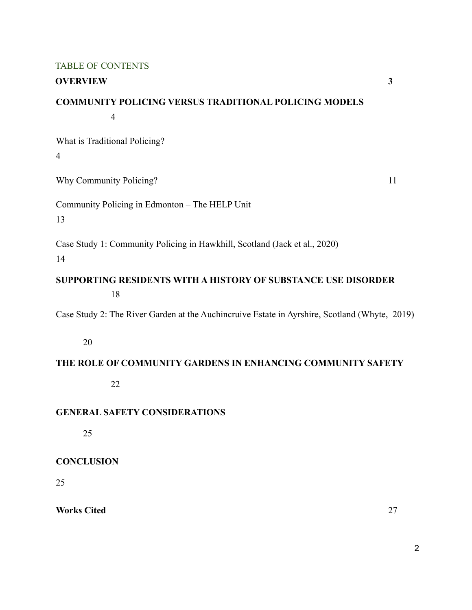#### TABLE OF CONTENTS

#### **OVERVIEW 3**

# **COMMUNITY POLICING VERSUS TRADITIONAL POLICING MODELS** 4

What is Traditional Policing? 4

Why Community Policing? 11

Community Policing in Edmonton – The HELP Unit

13

Case Study 1: Community Policing in Hawkhill, Scotland (Jack et al., 2020)

14

**SUPPORTING RESIDENTS WITH A HISTORY OF SUBSTANCE USE DISORDER** 18

Case Study 2: The River Garden at the Auchincruive Estate in Ayrshire, Scotland (Whyte, 2019)

20

## **THE ROLE OF COMMUNITY GARDENS IN ENHANCING COMMUNITY SAFETY**

22

# **GENERAL SAFETY CONSIDERATIONS**

25

## **CONCLUSION**

25

**Works Cited** 27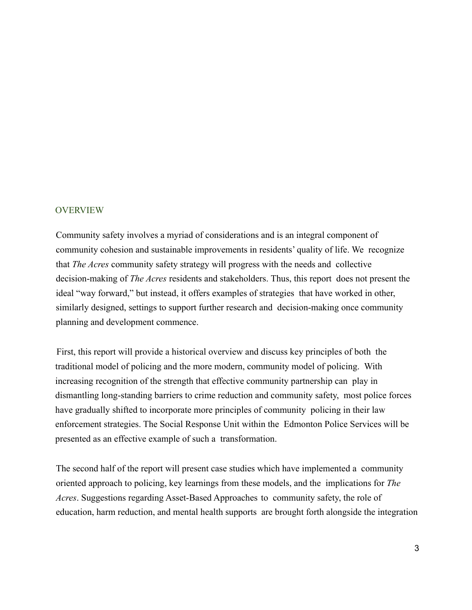#### **OVERVIEW**

Community safety involves a myriad of considerations and is an integral component of community cohesion and sustainable improvements in residents' quality of life. We recognize that *The Acres* community safety strategy will progress with the needs and collective decision-making of *The Acres* residents and stakeholders. Thus, this report does not present the ideal "way forward," but instead, it offers examples of strategies that have worked in other, similarly designed, settings to support further research and decision-making once community planning and development commence.

First, this report will provide a historical overview and discuss key principles of both the traditional model of policing and the more modern, community model of policing. With increasing recognition of the strength that effective community partnership can play in dismantling long-standing barriers to crime reduction and community safety, most police forces have gradually shifted to incorporate more principles of community policing in their law enforcement strategies. The Social Response Unit within the Edmonton Police Services will be presented as an effective example of such a transformation.

The second half of the report will present case studies which have implemented a community oriented approach to policing, key learnings from these models, and the implications for *The Acres*. Suggestions regarding Asset-Based Approaches to community safety, the role of education, harm reduction, and mental health supports are brought forth alongside the integration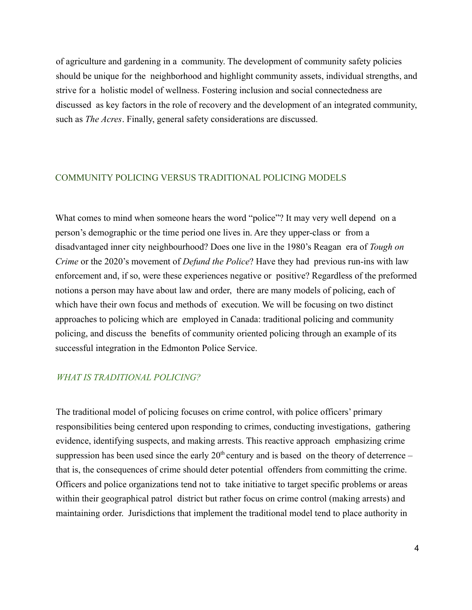of agriculture and gardening in a community. The development of community safety policies should be unique for the neighborhood and highlight community assets, individual strengths, and strive for a holistic model of wellness. Fostering inclusion and social connectedness are discussed as key factors in the role of recovery and the development of an integrated community, such as *The Acres*. Finally, general safety considerations are discussed.

### COMMUNITY POLICING VERSUS TRADITIONAL POLICING MODELS

What comes to mind when someone hears the word "police"? It may very well depend on a person's demographic or the time period one lives in. Are they upper-class or from a disadvantaged inner city neighbourhood? Does one live in the 1980's Reagan era of *Tough on Crime* or the 2020's movement of *Defund the Police*? Have they had previous run-ins with law enforcement and, if so, were these experiences negative or positive? Regardless of the preformed notions a person may have about law and order, there are many models of policing, each of which have their own focus and methods of execution. We will be focusing on two distinct approaches to policing which are employed in Canada: traditional policing and community policing, and discuss the benefits of community oriented policing through an example of its successful integration in the Edmonton Police Service.

## *WHAT IS TRADITIONAL POLICING?*

The traditional model of policing focuses on crime control, with police officers' primary responsibilities being centered upon responding to crimes, conducting investigations, gathering evidence, identifying suspects, and making arrests. This reactive approach emphasizing crime suppression has been used since the early  $20<sup>th</sup>$  century and is based on the theory of deterrence – that is, the consequences of crime should deter potential offenders from committing the crime. Officers and police organizations tend not to take initiative to target specific problems or areas within their geographical patrol district but rather focus on crime control (making arrests) and maintaining order. Jurisdictions that implement the traditional model tend to place authority in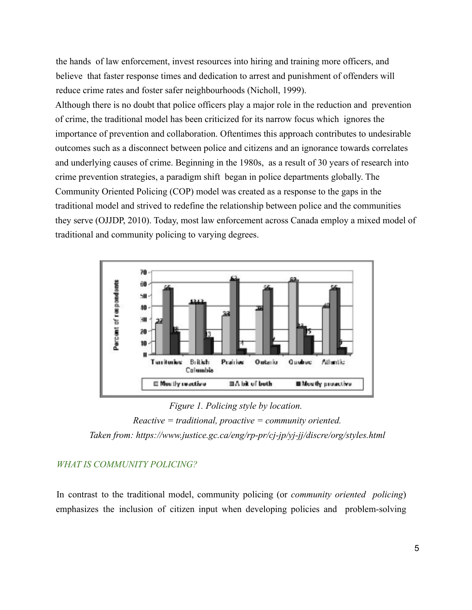the hands of law enforcement, invest resources into hiring and training more officers, and believe that faster response times and dedication to arrest and punishment of offenders will reduce crime rates and foster safer neighbourhoods (Nicholl, 1999).

Although there is no doubt that police officers play a major role in the reduction and prevention of crime, the traditional model has been criticized for its narrow focus which ignores the importance of prevention and collaboration. Oftentimes this approach contributes to undesirable outcomes such as a disconnect between police and citizens and an ignorance towards correlates and underlying causes of crime. Beginning in the 1980s, as a result of 30 years of research into crime prevention strategies, a paradigm shift began in police departments globally. The Community Oriented Policing (COP) model was created as a response to the gaps in the traditional model and strived to redefine the relationship between police and the communities they serve (OJJDP, 2010). Today, most law enforcement across Canada employ a mixed model of traditional and community policing to varying degrees.



*Figure 1. Policing style by location.*

#### *WHAT IS COMMUNITY POLICING?*

In contrast to the traditional model, community policing (or *community oriented policing*) emphasizes the inclusion of citizen input when developing policies and problem-solving

*Reactive = traditional, proactive = community oriented. Taken from: https://www.justice.gc.ca/eng/rp-pr/cj-jp/yj-jj/discre/org/styles.html*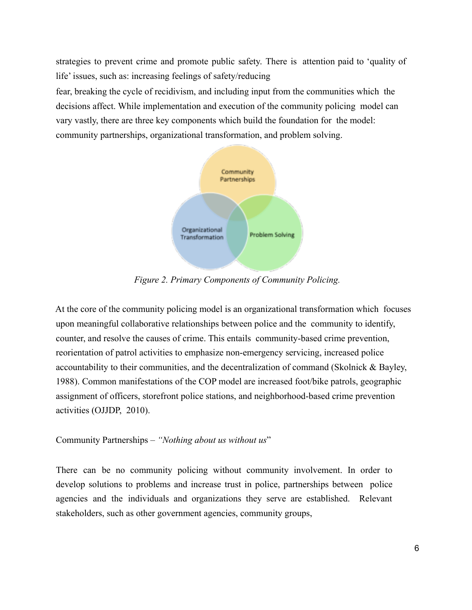strategies to prevent crime and promote public safety. There is attention paid to 'quality of life' issues, such as: increasing feelings of safety/reducing

fear, breaking the cycle of recidivism, and including input from the communities which the decisions affect. While implementation and execution of the community policing model can vary vastly, there are three key components which build the foundation for the model: community partnerships, organizational transformation, and problem solving.



*Figure 2. Primary Components of Community Policing.*

At the core of the community policing model is an organizational transformation which focuses upon meaningful collaborative relationships between police and the community to identify, counter, and resolve the causes of crime. This entails community-based crime prevention, reorientation of patrol activities to emphasize non-emergency servicing, increased police accountability to their communities, and the decentralization of command (Skolnick & Bayley, 1988). Common manifestations of the COP model are increased foot/bike patrols, geographic assignment of officers, storefront police stations, and neighborhood-based crime prevention activities (OJJDP, 2010).

## Community Partnerships – *"Nothing about us without us*"

There can be no community policing without community involvement. In order to develop solutions to problems and increase trust in police, partnerships between police agencies and the individuals and organizations they serve are established. Relevant stakeholders, such as other government agencies, community groups,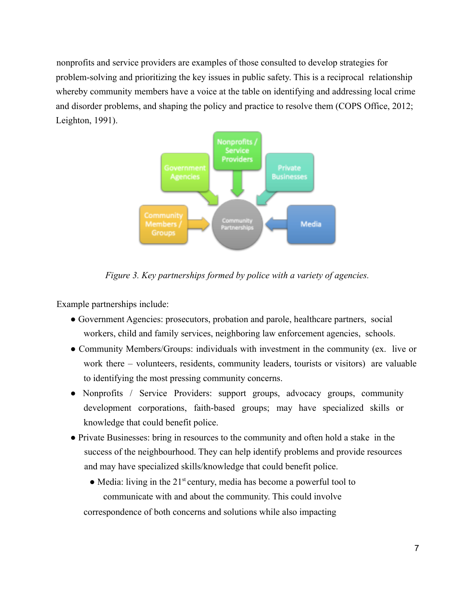nonprofits and service providers are examples of those consulted to develop strategies for problem-solving and prioritizing the key issues in public safety. This is a reciprocal relationship whereby community members have a voice at the table on identifying and addressing local crime and disorder problems, and shaping the policy and practice to resolve them (COPS Office, 2012; Leighton, 1991).



*Figure 3. Key partnerships formed by police with a variety of agencies.*

Example partnerships include:

- Government Agencies: prosecutors, probation and parole, healthcare partners, social workers, child and family services, neighboring law enforcement agencies, schools.
- Community Members/Groups: individuals with investment in the community (ex. live or work there – volunteers, residents, community leaders, tourists or visitors) are valuable to identifying the most pressing community concerns.
- Nonprofits / Service Providers: support groups, advocacy groups, community development corporations, faith-based groups; may have specialized skills or knowledge that could benefit police.
- Private Businesses: bring in resources to the community and often hold a stake in the success of the neighbourhood. They can help identify problems and provide resources and may have specialized skills/knowledge that could benefit police.
	- $\bullet$  Media: living in the 21<sup>st</sup> century, media has become a powerful tool to communicate with and about the community. This could involve correspondence of both concerns and solutions while also impacting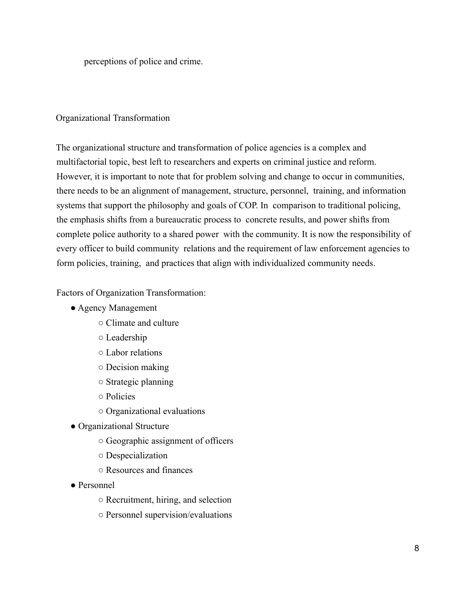perceptions of police and crime.

#### Organizational Transformation

The organizational structure and transformation of police agencies is a complex and multifactorial topic, best left to researchers and experts on criminal justice and reform. However, it is important to note that for problem solving and change to occur in communities, there needs to be an alignment of management, structure, personnel, training, and information systems that support the philosophy and goals of COP. In comparison to traditional policing, the emphasis shifts from a bureaucratic process to concrete results, and power shifts from complete police authority to a shared power with the community. It is now the responsibility of every officer to build community relations and the requirement of law enforcement agencies to form policies, training, and practices that align with individualized community needs.

Factors of Organization Transformation:

- Agency Management
	- Climate and culture
	- Leadership
	- Labor relations
	- Decision making
	- Strategic planning
	- Policies
	- Organizational evaluations
- Organizational Structure
	- Geographic assignment of officers
	- Despecialization
	- Resources and finances
- Personnel
	- Recruitment, hiring, and selection
	- Personnel supervision/evaluations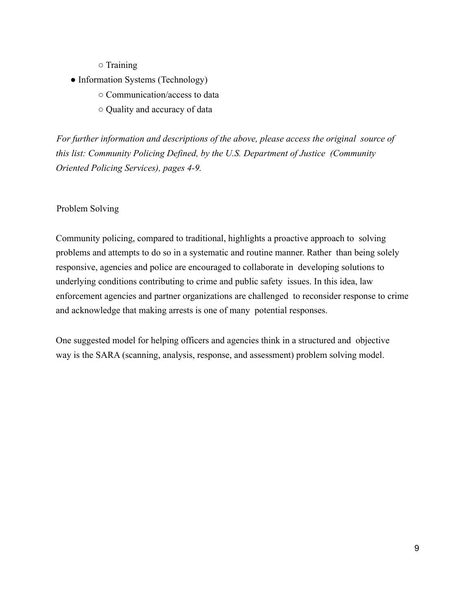○ Training

- Information Systems (Technology)
	- Communication/access to data
	- Quality and accuracy of data

*For further information and descriptions of the above, please access the original source of this list: Community Policing Defined, by the U.S. Department of Justice (Community Oriented Policing Services), pages 4-9.*

Problem Solving

Community policing, compared to traditional, highlights a proactive approach to solving problems and attempts to do so in a systematic and routine manner. Rather than being solely responsive, agencies and police are encouraged to collaborate in developing solutions to underlying conditions contributing to crime and public safety issues. In this idea, law enforcement agencies and partner organizations are challenged to reconsider response to crime and acknowledge that making arrests is one of many potential responses.

One suggested model for helping officers and agencies think in a structured and objective way is the SARA (scanning, analysis, response, and assessment) problem solving model.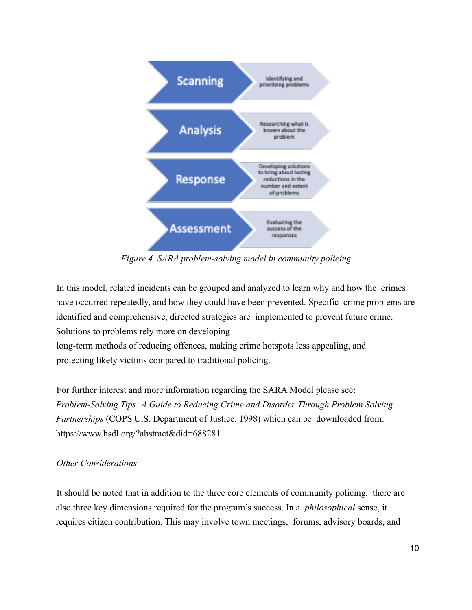

*Figure 4. SARA problem-solving model in community policing.*

In this model, related incidents can be grouped and analyzed to learn why and how the crimes have occurred repeatedly, and how they could have been prevented. Specific crime problems are identified and comprehensive, directed strategies are implemented to prevent future crime. Solutions to problems rely more on developing long-term methods of reducing offences, making crime hotspots less appealing, and protecting likely victims compared to traditional policing.

For further interest and more information regarding the SARA Model please see: *Problem-Solving Tips: A Guide to Reducing Crime and Disorder Through Problem Solving Partnerships* (COPS U.S. Department of Justice, 1998) which can be downloaded from: https://www.hsdl.org/?abstract&did=688281

## *Other Considerations*

It should be noted that in addition to the three core elements of community policing, there are also three key dimensions required for the program's success. In a *philosophical* sense, it requires citizen contribution. This may involve town meetings, forums, advisory boards, and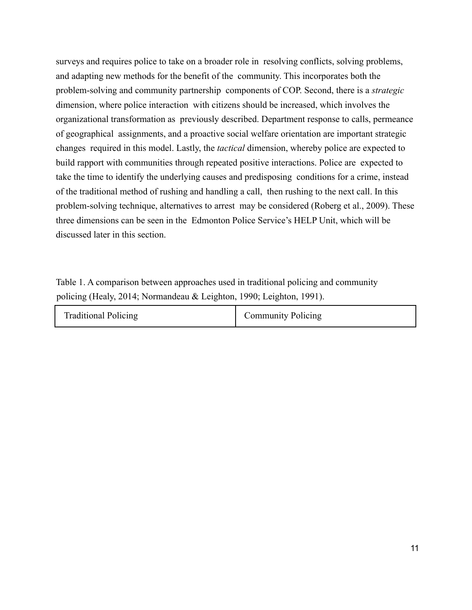surveys and requires police to take on a broader role in resolving conflicts, solving problems, and adapting new methods for the benefit of the community. This incorporates both the problem-solving and community partnership components of COP. Second, there is a *strategic* dimension, where police interaction with citizens should be increased, which involves the organizational transformation as previously described. Department response to calls, permeance of geographical assignments, and a proactive social welfare orientation are important strategic changes required in this model. Lastly, the *tactical* dimension, whereby police are expected to build rapport with communities through repeated positive interactions. Police are expected to take the time to identify the underlying causes and predisposing conditions for a crime, instead of the traditional method of rushing and handling a call, then rushing to the next call. In this problem-solving technique, alternatives to arrest may be considered (Roberg et al., 2009). These three dimensions can be seen in the Edmonton Police Service's HELP Unit, which will be discussed later in this section.

Table 1. A comparison between approaches used in traditional policing and community policing (Healy, 2014; Normandeau & Leighton, 1990; Leighton, 1991).

| <b>Traditional Policing</b> | <b>Community Policing</b> |
|-----------------------------|---------------------------|
|-----------------------------|---------------------------|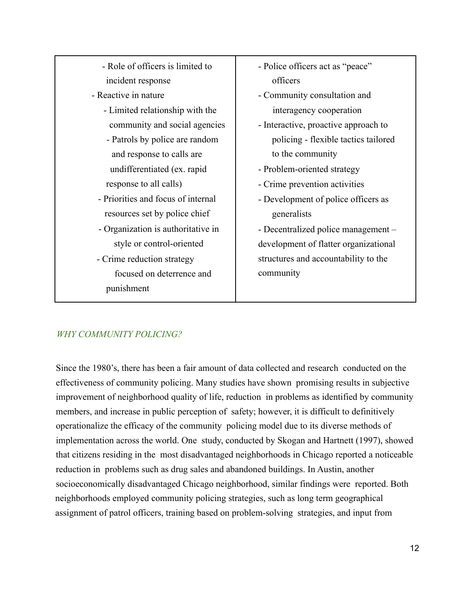| - Role of officers is limited to |
|----------------------------------|
| incident response                |

- Reactive in nature
	- Limited relationship with the community and social agencies
	- Patrols by police are random and response to calls are undifferentiated (ex. rapid response to all calls)
	- Priorities and focus of internal resources set by police chief
	- Organization is authoritative in style or control-oriented
- Crime reduction strategy focused on deterrence and punishment
- Police officers act as "peace" officers
- Community consultation and interagency cooperation
- Interactive, proactive approach to policing - flexible tactics tailored to the community
- Problem-oriented strategy
- Crime prevention activities
- Development of police officers as generalists

- Decentralized police management – development of flatter organizational structures and accountability to the community

# *WHY COMMUNITY POLICING?*

Since the 1980's, there has been a fair amount of data collected and research conducted on the effectiveness of community policing. Many studies have shown promising results in subjective improvement of neighborhood quality of life, reduction in problems as identified by community members, and increase in public perception of safety; however, it is difficult to definitively operationalize the efficacy of the community policing model due to its diverse methods of implementation across the world. One study, conducted by Skogan and Hartnett (1997), showed that citizens residing in the most disadvantaged neighborhoods in Chicago reported a noticeable reduction in problems such as drug sales and abandoned buildings. In Austin, another socioeconomically disadvantaged Chicago neighborhood, similar findings were reported. Both neighborhoods employed community policing strategies, such as long term geographical assignment of patrol officers, training based on problem-solving strategies, and input from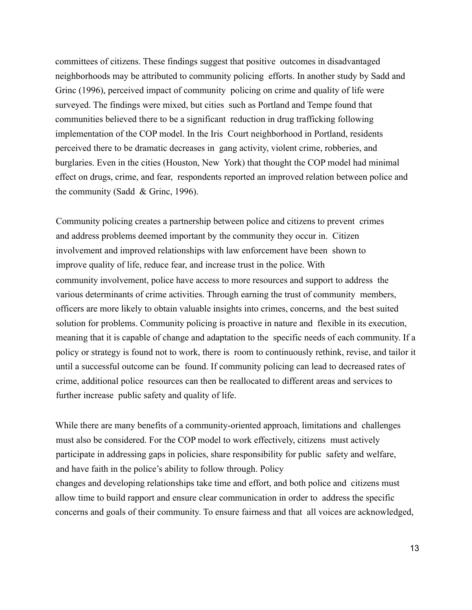committees of citizens. These findings suggest that positive outcomes in disadvantaged neighborhoods may be attributed to community policing efforts. In another study by Sadd and Grinc (1996), perceived impact of community policing on crime and quality of life were surveyed. The findings were mixed, but cities such as Portland and Tempe found that communities believed there to be a significant reduction in drug trafficking following implementation of the COP model. In the Iris Court neighborhood in Portland, residents perceived there to be dramatic decreases in gang activity, violent crime, robberies, and burglaries. Even in the cities (Houston, New York) that thought the COP model had minimal effect on drugs, crime, and fear, respondents reported an improved relation between police and the community (Sadd & Grinc, 1996).

Community policing creates a partnership between police and citizens to prevent crimes and address problems deemed important by the community they occur in. Citizen involvement and improved relationships with law enforcement have been shown to improve quality of life, reduce fear, and increase trust in the police. With community involvement, police have access to more resources and support to address the various determinants of crime activities. Through earning the trust of community members, officers are more likely to obtain valuable insights into crimes, concerns, and the best suited solution for problems. Community policing is proactive in nature and flexible in its execution, meaning that it is capable of change and adaptation to the specific needs of each community. If a policy or strategy is found not to work, there is room to continuously rethink, revise, and tailor it until a successful outcome can be found. If community policing can lead to decreased rates of crime, additional police resources can then be reallocated to different areas and services to further increase public safety and quality of life.

While there are many benefits of a community-oriented approach, limitations and challenges must also be considered. For the COP model to work effectively, citizens must actively participate in addressing gaps in policies, share responsibility for public safety and welfare, and have faith in the police's ability to follow through. Policy changes and developing relationships take time and effort, and both police and citizens must allow time to build rapport and ensure clear communication in order to address the specific concerns and goals of their community. To ensure fairness and that all voices are acknowledged,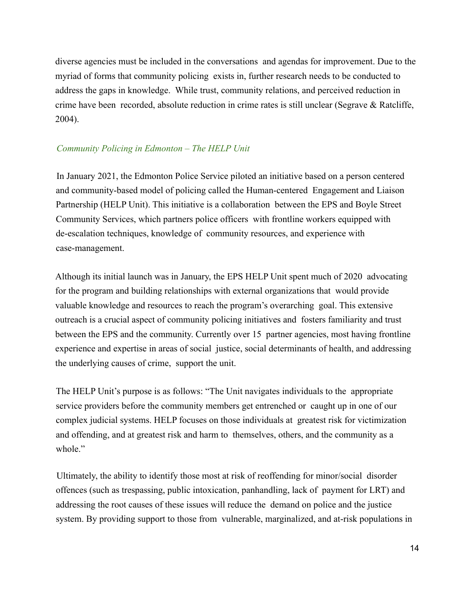diverse agencies must be included in the conversations and agendas for improvement. Due to the myriad of forms that community policing exists in, further research needs to be conducted to address the gaps in knowledge. While trust, community relations, and perceived reduction in crime have been recorded, absolute reduction in crime rates is still unclear (Segrave & Ratcliffe, 2004).

### *Community Policing in Edmonton – The HELP Unit*

In January 2021, the Edmonton Police Service piloted an initiative based on a person centered and community-based model of policing called the Human-centered Engagement and Liaison Partnership (HELP Unit). This initiative is a collaboration between the EPS and Boyle Street Community Services, which partners police officers with frontline workers equipped with de-escalation techniques, knowledge of community resources, and experience with case-management.

Although its initial launch was in January, the EPS HELP Unit spent much of 2020 advocating for the program and building relationships with external organizations that would provide valuable knowledge and resources to reach the program's overarching goal. This extensive outreach is a crucial aspect of community policing initiatives and fosters familiarity and trust between the EPS and the community. Currently over 15 partner agencies, most having frontline experience and expertise in areas of social justice, social determinants of health, and addressing the underlying causes of crime, support the unit.

The HELP Unit's purpose is as follows: "The Unit navigates individuals to the appropriate service providers before the community members get entrenched or caught up in one of our complex judicial systems. HELP focuses on those individuals at greatest risk for victimization and offending, and at greatest risk and harm to themselves, others, and the community as a whole."

Ultimately, the ability to identify those most at risk of reoffending for minor/social disorder offences (such as trespassing, public intoxication, panhandling, lack of payment for LRT) and addressing the root causes of these issues will reduce the demand on police and the justice system. By providing support to those from vulnerable, marginalized, and at-risk populations in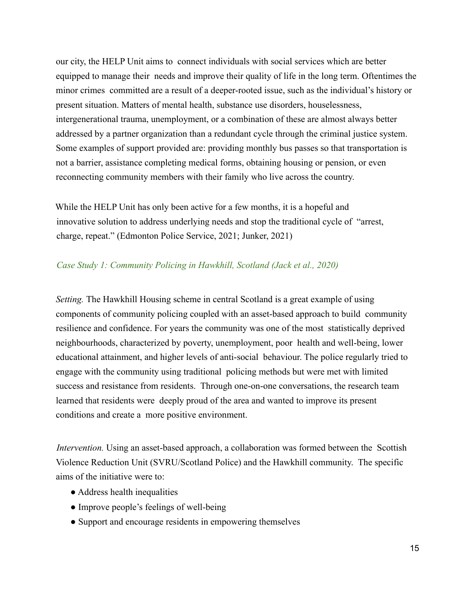our city, the HELP Unit aims to connect individuals with social services which are better equipped to manage their needs and improve their quality of life in the long term. Oftentimes the minor crimes committed are a result of a deeper-rooted issue, such as the individual's history or present situation. Matters of mental health, substance use disorders, houselessness, intergenerational trauma, unemployment, or a combination of these are almost always better addressed by a partner organization than a redundant cycle through the criminal justice system. Some examples of support provided are: providing monthly bus passes so that transportation is not a barrier, assistance completing medical forms, obtaining housing or pension, or even reconnecting community members with their family who live across the country.

While the HELP Unit has only been active for a few months, it is a hopeful and innovative solution to address underlying needs and stop the traditional cycle of "arrest, charge, repeat." (Edmonton Police Service, 2021; Junker, 2021)

#### *Case Study 1: Community Policing in Hawkhill, Scotland (Jack et al., 2020)*

*Setting.* The Hawkhill Housing scheme in central Scotland is a great example of using components of community policing coupled with an asset-based approach to build community resilience and confidence. For years the community was one of the most statistically deprived neighbourhoods, characterized by poverty, unemployment, poor health and well-being, lower educational attainment, and higher levels of anti-social behaviour. The police regularly tried to engage with the community using traditional policing methods but were met with limited success and resistance from residents. Through one-on-one conversations, the research team learned that residents were deeply proud of the area and wanted to improve its present conditions and create a more positive environment.

*Intervention.* Using an asset-based approach, a collaboration was formed between the Scottish Violence Reduction Unit (SVRU/Scotland Police) and the Hawkhill community. The specific aims of the initiative were to:

- Address health inequalities
- Improve people's feelings of well-being
- Support and encourage residents in empowering themselves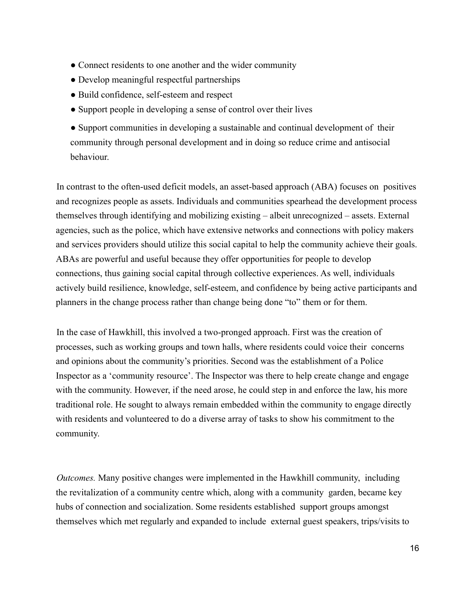- Connect residents to one another and the wider community
- Develop meaningful respectful partnerships
- Build confidence, self-esteem and respect
- Support people in developing a sense of control over their lives
- Support communities in developing a sustainable and continual development of their community through personal development and in doing so reduce crime and antisocial behaviour.

In contrast to the often-used deficit models, an asset-based approach (ABA) focuses on positives and recognizes people as assets. Individuals and communities spearhead the development process themselves through identifying and mobilizing existing – albeit unrecognized – assets. External agencies, such as the police, which have extensive networks and connections with policy makers and services providers should utilize this social capital to help the community achieve their goals. ABAs are powerful and useful because they offer opportunities for people to develop connections, thus gaining social capital through collective experiences. As well, individuals actively build resilience, knowledge, self-esteem, and confidence by being active participants and planners in the change process rather than change being done "to" them or for them.

In the case of Hawkhill, this involved a two-pronged approach. First was the creation of processes, such as working groups and town halls, where residents could voice their concerns and opinions about the community's priorities. Second was the establishment of a Police Inspector as a 'community resource'. The Inspector was there to help create change and engage with the community. However, if the need arose, he could step in and enforce the law, his more traditional role. He sought to always remain embedded within the community to engage directly with residents and volunteered to do a diverse array of tasks to show his commitment to the community.

*Outcomes.* Many positive changes were implemented in the Hawkhill community, including the revitalization of a community centre which, along with a community garden, became key hubs of connection and socialization. Some residents established support groups amongst themselves which met regularly and expanded to include external guest speakers, trips/visits to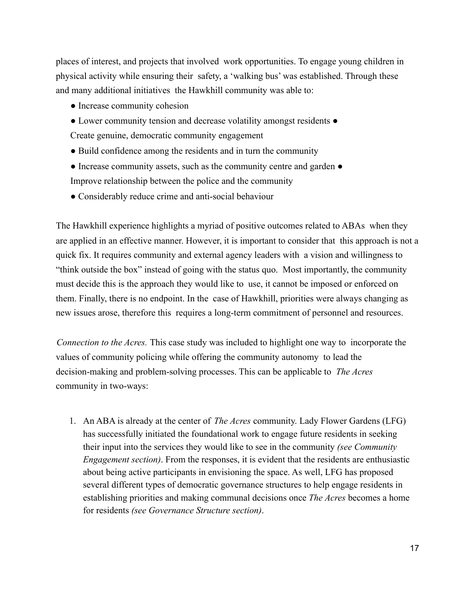places of interest, and projects that involved work opportunities. To engage young children in physical activity while ensuring their safety, a 'walking bus' was established. Through these and many additional initiatives the Hawkhill community was able to:

- Increase community cohesion
- Lower community tension and decrease volatility amongst residents Create genuine, democratic community engagement
- Build confidence among the residents and in turn the community
- Increase community assets, such as the community centre and garden Improve relationship between the police and the community
- Considerably reduce crime and anti-social behaviour

The Hawkhill experience highlights a myriad of positive outcomes related to ABAs when they are applied in an effective manner. However, it is important to consider that this approach is not a quick fix. It requires community and external agency leaders with a vision and willingness to "think outside the box" instead of going with the status quo. Most importantly, the community must decide this is the approach they would like to use, it cannot be imposed or enforced on them. Finally, there is no endpoint. In the case of Hawkhill, priorities were always changing as new issues arose, therefore this requires a long-term commitment of personnel and resources.

*Connection to the Acres.* This case study was included to highlight one way to incorporate the values of community policing while offering the community autonomy to lead the decision-making and problem-solving processes. This can be applicable to *The Acres* community in two-ways:

1. An ABA is already at the center of *The Acres* community. Lady Flower Gardens (LFG) has successfully initiated the foundational work to engage future residents in seeking their input into the services they would like to see in the community *(see Community Engagement section)*. From the responses, it is evident that the residents are enthusiastic about being active participants in envisioning the space. As well, LFG has proposed several different types of democratic governance structures to help engage residents in establishing priorities and making communal decisions once *The Acres* becomes a home for residents *(see Governance Structure section)*.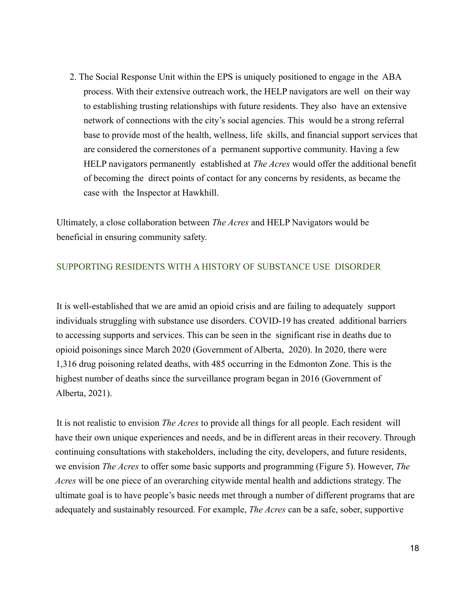2. The Social Response Unit within the EPS is uniquely positioned to engage in the ABA process. With their extensive outreach work, the HELP navigators are well on their way to establishing trusting relationships with future residents. They also have an extensive network of connections with the city's social agencies. This would be a strong referral base to provide most of the health, wellness, life skills, and financial support services that are considered the cornerstones of a permanent supportive community. Having a few HELP navigators permanently established at *The Acres* would offer the additional benefit of becoming the direct points of contact for any concerns by residents, as became the case with the Inspector at Hawkhill.

Ultimately, a close collaboration between *The Acres* and HELP Navigators would be beneficial in ensuring community safety.

### SUPPORTING RESIDENTS WITH A HISTORY OF SUBSTANCE USE DISORDER

It is well-established that we are amid an opioid crisis and are failing to adequately support individuals struggling with substance use disorders. COVID-19 has created additional barriers to accessing supports and services. This can be seen in the significant rise in deaths due to opioid poisonings since March 2020 (Government of Alberta, 2020). In 2020, there were 1,316 drug poisoning related deaths, with 485 occurring in the Edmonton Zone. This is the highest number of deaths since the surveillance program began in 2016 (Government of Alberta, 2021).

It is not realistic to envision *The Acres* to provide all things for all people. Each resident will have their own unique experiences and needs, and be in different areas in their recovery. Through continuing consultations with stakeholders, including the city, developers, and future residents, we envision *The Acres* to offer some basic supports and programming (Figure 5). However, *The Acres* will be one piece of an overarching citywide mental health and addictions strategy. The ultimate goal is to have people's basic needs met through a number of different programs that are adequately and sustainably resourced. For example, *The Acres* can be a safe, sober, supportive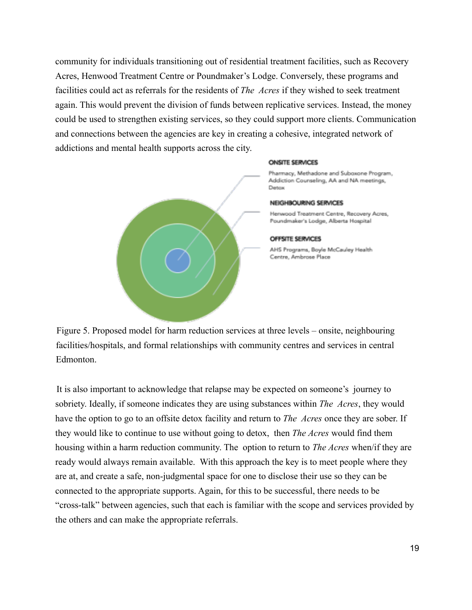community for individuals transitioning out of residential treatment facilities, such as Recovery Acres, Henwood Treatment Centre or Poundmaker's Lodge. Conversely, these programs and facilities could act as referrals for the residents of *The Acres* if they wished to seek treatment again. This would prevent the division of funds between replicative services. Instead, the money could be used to strengthen existing services, so they could support more clients. Communication and connections between the agencies are key in creating a cohesive, integrated network of addictions and mental health supports across the city.



Figure 5. Proposed model for harm reduction services at three levels – onsite, neighbouring facilities/hospitals, and formal relationships with community centres and services in central Edmonton.

It is also important to acknowledge that relapse may be expected on someone's journey to sobriety. Ideally, if someone indicates they are using substances within *The Acres*, they would have the option to go to an offsite detox facility and return to *The Acres* once they are sober. If they would like to continue to use without going to detox, then *The Acres* would find them housing within a harm reduction community. The option to return to *The Acres* when/if they are ready would always remain available. With this approach the key is to meet people where they are at, and create a safe, non-judgmental space for one to disclose their use so they can be connected to the appropriate supports. Again, for this to be successful, there needs to be "cross-talk" between agencies, such that each is familiar with the scope and services provided by the others and can make the appropriate referrals.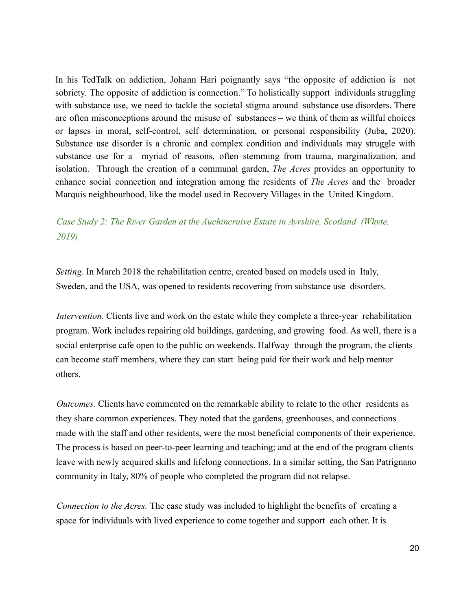In his TedTalk on addiction, Johann Hari poignantly says "the opposite of addiction is not sobriety. The opposite of addiction is connection." To holistically support individuals struggling with substance use, we need to tackle the societal stigma around substance use disorders. There are often misconceptions around the misuse of substances – we think of them as willful choices or lapses in moral, self-control, self determination, or personal responsibility (Juba, 2020). Substance use disorder is a chronic and complex condition and individuals may struggle with substance use for a myriad of reasons, often stemming from trauma, marginalization, and isolation. Through the creation of a communal garden, *The Acres* provides an opportunity to enhance social connection and integration among the residents of *The Acres* and the broader Marquis neighbourhood, like the model used in Recovery Villages in the United Kingdom.

# *Case Study 2: The River Garden at the Auchincruive Estate in Ayrshire, Scotland (Whyte, 2019)*

*Setting.* In March 2018 the rehabilitation centre, created based on models used in Italy, Sweden, and the USA, was opened to residents recovering from substance use disorders.

*Intervention.* Clients live and work on the estate while they complete a three-year rehabilitation program. Work includes repairing old buildings, gardening, and growing food. As well, there is a social enterprise cafe open to the public on weekends. Halfway through the program, the clients can become staff members, where they can start being paid for their work and help mentor others.

*Outcomes.* Clients have commented on the remarkable ability to relate to the other residents as they share common experiences. They noted that the gardens, greenhouses, and connections made with the staff and other residents, were the most beneficial components of their experience. The process is based on peer-to-peer learning and teaching; and at the end of the program clients leave with newly acquired skills and lifelong connections. In a similar setting, the San Patrignano community in Italy, 80% of people who completed the program did not relapse.

*Connection to the Acres.* The case study was included to highlight the benefits of creating a space for individuals with lived experience to come together and support each other. It is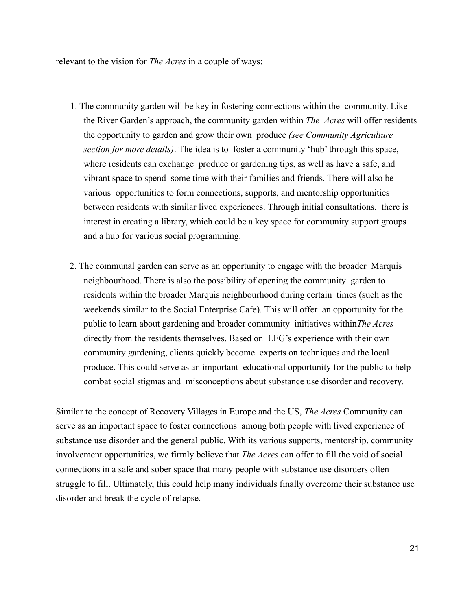relevant to the vision for *The Acres* in a couple of ways:

- 1. The community garden will be key in fostering connections within the community. Like the River Garden's approach, the community garden within *The Acres* will offer residents the opportunity to garden and grow their own produce *(see Community Agriculture section for more details)*. The idea is to foster a community 'hub' through this space, where residents can exchange produce or gardening tips, as well as have a safe, and vibrant space to spend some time with their families and friends. There will also be various opportunities to form connections, supports, and mentorship opportunities between residents with similar lived experiences. Through initial consultations, there is interest in creating a library, which could be a key space for community support groups and a hub for various social programming.
- 2. The communal garden can serve as an opportunity to engage with the broader Marquis neighbourhood. There is also the possibility of opening the community garden to residents within the broader Marquis neighbourhood during certain times (such as the weekends similar to the Social Enterprise Cafe). This will offer an opportunity for the public to learn about gardening and broader community initiatives within*The Acres* directly from the residents themselves. Based on LFG's experience with their own community gardening, clients quickly become experts on techniques and the local produce. This could serve as an important educational opportunity for the public to help combat social stigmas and misconceptions about substance use disorder and recovery.

Similar to the concept of Recovery Villages in Europe and the US, *The Acres* Community can serve as an important space to foster connections among both people with lived experience of substance use disorder and the general public. With its various supports, mentorship, community involvement opportunities, we firmly believe that *The Acres* can offer to fill the void of social connections in a safe and sober space that many people with substance use disorders often struggle to fill. Ultimately, this could help many individuals finally overcome their substance use disorder and break the cycle of relapse.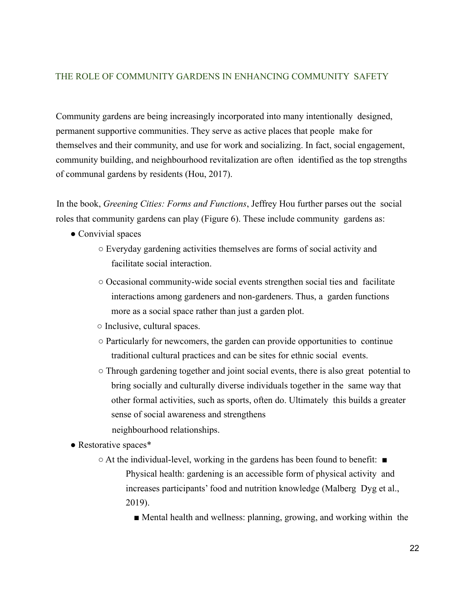### THE ROLE OF COMMUNITY GARDENS IN ENHANCING COMMUNITY SAFETY

Community gardens are being increasingly incorporated into many intentionally designed, permanent supportive communities. They serve as active places that people make for themselves and their community, and use for work and socializing. In fact, social engagement, community building, and neighbourhood revitalization are often identified as the top strengths of communal gardens by residents (Hou, 2017).

In the book, *Greening Cities: Forms and Functions*, Jeffrey Hou further parses out the social roles that community gardens can play (Figure 6). These include community gardens as:

- Convivial spaces
	- Everyday gardening activities themselves are forms of social activity and facilitate social interaction.
	- Occasional community-wide social events strengthen social ties and facilitate interactions among gardeners and non-gardeners. Thus, a garden functions more as a social space rather than just a garden plot.
	- Inclusive, cultural spaces.
	- Particularly for newcomers, the garden can provide opportunities to continue traditional cultural practices and can be sites for ethnic social events.
	- Through gardening together and joint social events, there is also great potential to bring socially and culturally diverse individuals together in the same way that other formal activities, such as sports, often do. Ultimately this builds a greater sense of social awareness and strengthens neighbourhood relationships.
- Restorative spaces\*
	- At the individual-level, working in the gardens has been found to benefit: Physical health: gardening is an accessible form of physical activity and increases participants' food and nutrition knowledge (Malberg Dyg et al., 2019).

■ Mental health and wellness: planning, growing, and working within the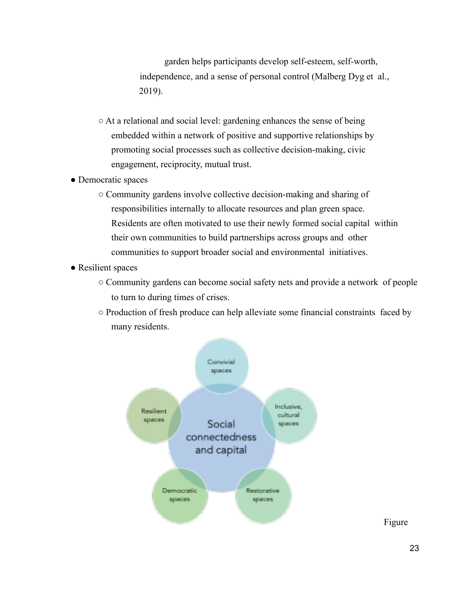garden helps participants develop self-esteem, self-worth, independence, and a sense of personal control (Malberg Dyg et al., 2019).

- At a relational and social level: gardening enhances the sense of being embedded within a network of positive and supportive relationships by promoting social processes such as collective decision-making, civic engagement, reciprocity, mutual trust.
- Democratic spaces
	- Community gardens involve collective decision-making and sharing of responsibilities internally to allocate resources and plan green space. Residents are often motivated to use their newly formed social capital within their own communities to build partnerships across groups and other communities to support broader social and environmental initiatives.
- Resilient spaces
	- Community gardens can become social safety nets and provide a network of people to turn to during times of crises.
	- Production of fresh produce can help alleviate some financial constraints faced by many residents.



Figure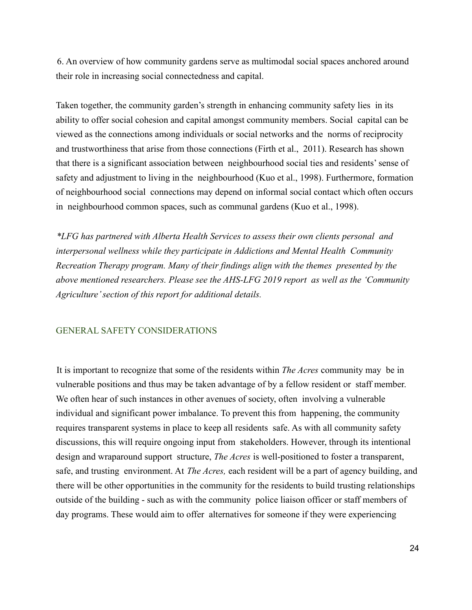6. An overview of how community gardens serve as multimodal social spaces anchored around their role in increasing social connectedness and capital.

Taken together, the community garden's strength in enhancing community safety lies in its ability to offer social cohesion and capital amongst community members. Social capital can be viewed as the connections among individuals or social networks and the norms of reciprocity and trustworthiness that arise from those connections (Firth et al., 2011). Research has shown that there is a significant association between neighbourhood social ties and residents' sense of safety and adjustment to living in the neighbourhood (Kuo et al., 1998). Furthermore, formation of neighbourhood social connections may depend on informal social contact which often occurs in neighbourhood common spaces, such as communal gardens (Kuo et al., 1998).

*\*LFG has partnered with Alberta Health Services to assess their own clients personal and interpersonal wellness while they participate in Addictions and Mental Health Community Recreation Therapy program. Many of their findings align with the themes presented by the above mentioned researchers. Please see the AHS-LFG 2019 report as well as the 'Community Agriculture' section of this report for additional details.*

### GENERAL SAFETY CONSIDERATIONS

It is important to recognize that some of the residents within *The Acres* community may be in vulnerable positions and thus may be taken advantage of by a fellow resident or staff member. We often hear of such instances in other avenues of society, often involving a vulnerable individual and significant power imbalance. To prevent this from happening, the community requires transparent systems in place to keep all residents safe. As with all community safety discussions, this will require ongoing input from stakeholders. However, through its intentional design and wraparound support structure, *The Acres* is well-positioned to foster a transparent, safe, and trusting environment. At *The Acres,* each resident will be a part of agency building, and there will be other opportunities in the community for the residents to build trusting relationships outside of the building - such as with the community police liaison officer or staff members of day programs. These would aim to offer alternatives for someone if they were experiencing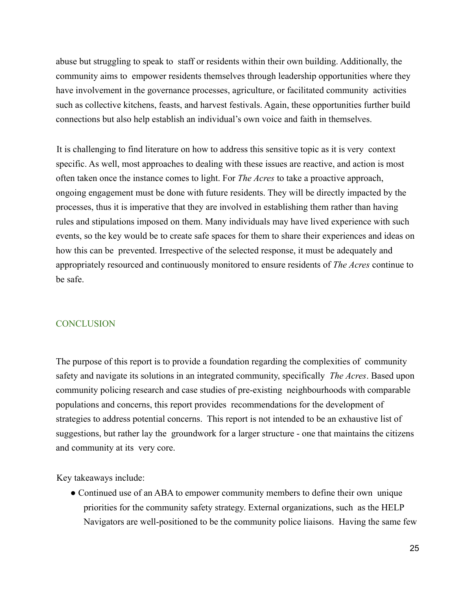abuse but struggling to speak to staff or residents within their own building. Additionally, the community aims to empower residents themselves through leadership opportunities where they have involvement in the governance processes, agriculture, or facilitated community activities such as collective kitchens, feasts, and harvest festivals. Again, these opportunities further build connections but also help establish an individual's own voice and faith in themselves.

It is challenging to find literature on how to address this sensitive topic as it is very context specific. As well, most approaches to dealing with these issues are reactive, and action is most often taken once the instance comes to light. For *The Acres* to take a proactive approach, ongoing engagement must be done with future residents. They will be directly impacted by the processes, thus it is imperative that they are involved in establishing them rather than having rules and stipulations imposed on them. Many individuals may have lived experience with such events, so the key would be to create safe spaces for them to share their experiences and ideas on how this can be prevented. Irrespective of the selected response, it must be adequately and appropriately resourced and continuously monitored to ensure residents of *The Acres* continue to be safe.

#### **CONCLUSION**

The purpose of this report is to provide a foundation regarding the complexities of community safety and navigate its solutions in an integrated community, specifically *The Acres*. Based upon community policing research and case studies of pre-existing neighbourhoods with comparable populations and concerns, this report provides recommendations for the development of strategies to address potential concerns. This report is not intended to be an exhaustive list of suggestions, but rather lay the groundwork for a larger structure - one that maintains the citizens and community at its very core.

Key takeaways include:

• Continued use of an ABA to empower community members to define their own unique priorities for the community safety strategy. External organizations, such as the HELP Navigators are well-positioned to be the community police liaisons. Having the same few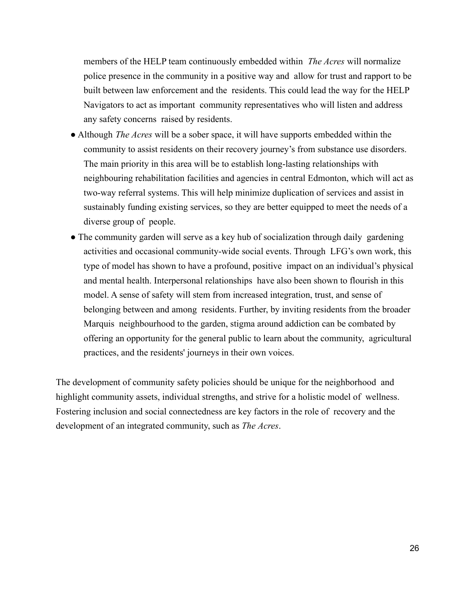members of the HELP team continuously embedded within *The Acres* will normalize police presence in the community in a positive way and allow for trust and rapport to be built between law enforcement and the residents. This could lead the way for the HELP Navigators to act as important community representatives who will listen and address any safety concerns raised by residents.

- Although *The Acres* will be a sober space, it will have supports embedded within the community to assist residents on their recovery journey's from substance use disorders. The main priority in this area will be to establish long-lasting relationships with neighbouring rehabilitation facilities and agencies in central Edmonton, which will act as two-way referral systems. This will help minimize duplication of services and assist in sustainably funding existing services, so they are better equipped to meet the needs of a diverse group of people.
- The community garden will serve as a key hub of socialization through daily gardening activities and occasional community-wide social events. Through LFG's own work, this type of model has shown to have a profound, positive impact on an individual's physical and mental health. Interpersonal relationships have also been shown to flourish in this model. A sense of safety will stem from increased integration, trust, and sense of belonging between and among residents. Further, by inviting residents from the broader Marquis neighbourhood to the garden, stigma around addiction can be combated by offering an opportunity for the general public to learn about the community, agricultural practices, and the residents' journeys in their own voices.

The development of community safety policies should be unique for the neighborhood and highlight community assets, individual strengths, and strive for a holistic model of wellness. Fostering inclusion and social connectedness are key factors in the role of recovery and the development of an integrated community, such as *The Acres*.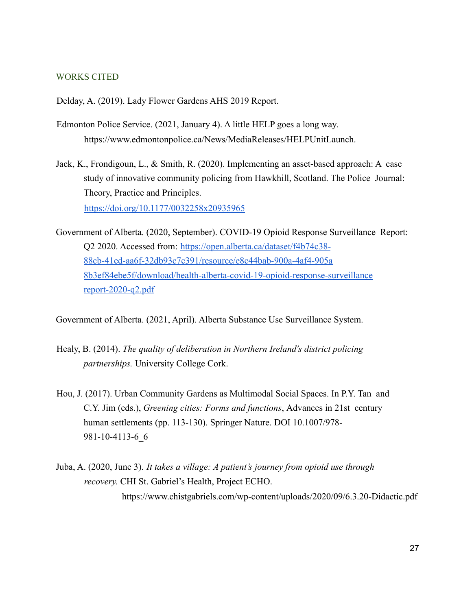#### WORKS CITED

Delday, A. (2019). Lady Flower Gardens AHS 2019 Report.

- Edmonton Police Service. (2021, January 4). A little HELP goes a long way. https://www.edmontonpolice.ca/News/MediaReleases/HELPUnitLaunch.
- Jack, K., Frondigoun, L., & Smith, R. (2020). Implementing an asset-based approach: A case study of innovative community policing from Hawkhill, Scotland. The Police Journal: Theory, Practice and Principles. https://doi.org/10.1177/0032258x20935965
- Government of Alberta. (2020, September). COVID-19 Opioid Response Surveillance Report: Q2 2020. Accessed from: https://open.alberta.ca/dataset/f4b74c38- 88cb-41ed-aa6f-32db93c7c391/resource/e8c44bab-900a-4af4-905a 8b3ef84ebe5f/download/health-alberta-covid-19-opioid-response-surveillance report-2020-q2.pdf

Government of Alberta. (2021, April). Alberta Substance Use Surveillance System.

- Healy, B. (2014). *The quality of deliberation in Northern Ireland's district policing partnerships.* University College Cork.
- Hou, J. (2017). Urban Community Gardens as Multimodal Social Spaces. In P.Y. Tan and C.Y. Jim (eds.), *Greening cities: Forms and functions*, Advances in 21st century human settlements (pp. 113-130). Springer Nature. DOI 10.1007/978- 981-10-4113-6\_6
- Juba, A. (2020, June 3). *It takes a village: A patient's journey from opioid use through recovery.* CHI St. Gabriel's Health, Project ECHO. https://www.chistgabriels.com/wp-content/uploads/2020/09/6.3.20-Didactic.pdf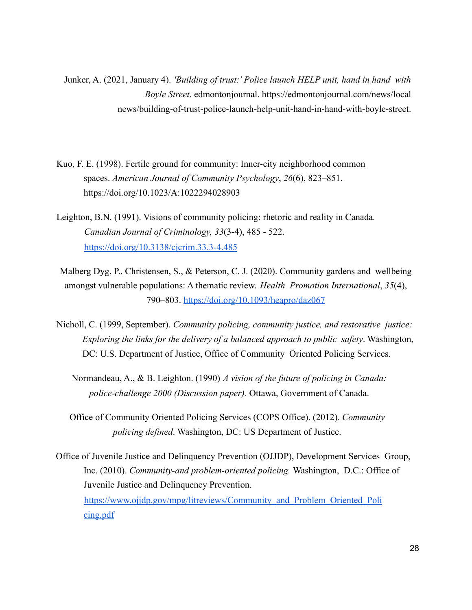Junker, A. (2021, January 4). *'Building of trust:' Police launch HELP unit, hand in hand with Boyle Street*. edmontonjournal. https://edmontonjournal.com/news/local news/building-of-trust-police-launch-help-unit-hand-in-hand-with-boyle-street.

- Kuo, F. E. (1998). Fertile ground for community: Inner-city neighborhood common spaces. *American Journal of Community Psychology*, *26*(6), 823–851. https://doi.org/10.1023/A:1022294028903
- Leighton, B.N. (1991). Visions of community policing: rhetoric and reality in Canada*. Canadian Journal of Criminology, 33*(3-4), 485 - 522. https://doi.org/10.3138/cjcrim.33.3-4.485
- Malberg Dyg, P., Christensen, S., & Peterson, C. J. (2020). Community gardens and wellbeing amongst vulnerable populations: A thematic review. *Health Promotion International*, *35*(4), 790–803. https://doi.org/10.1093/heapro/daz067
- Nicholl, C. (1999, September). *Community policing, community justice, and restorative justice: Exploring the links for the delivery of a balanced approach to public safety*. Washington, DC: U.S. Department of Justice, Office of Community Oriented Policing Services.
	- Normandeau, A., & B. Leighton. (1990) *A vision of the future of policing in Canada: police-challenge 2000 (Discussion paper).* Ottawa, Government of Canada.
	- Office of Community Oriented Policing Services (COPS Office). (2012). *Community policing defined*. Washington, DC: US Department of Justice.
- Office of Juvenile Justice and Delinquency Prevention (OJJDP), Development Services Group, Inc. (2010). *Community-and problem-oriented policing.* Washington, D.C.: Office of Juvenile Justice and Delinquency Prevention. https://www.ojjdp.gov/mpg/litreviews/Community and Problem Oriented Poli cing.pdf